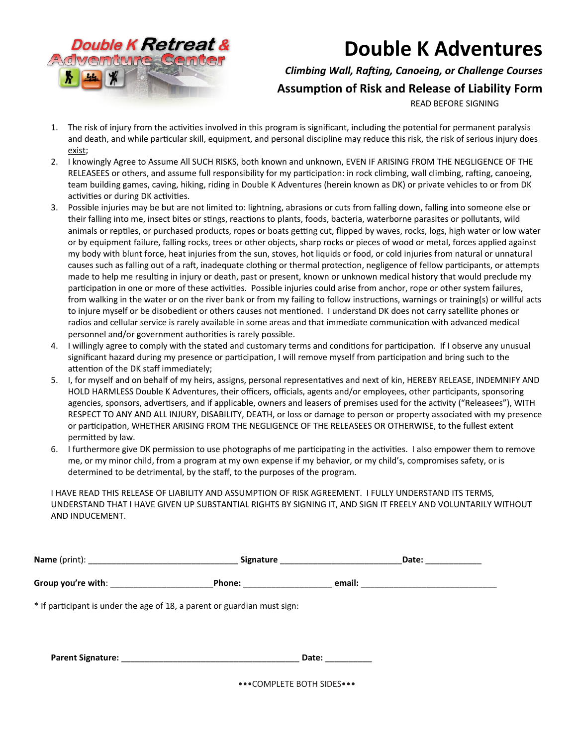

## **Double K Adventures**

## *Climbing Wall, Rafting, Canoeing, or Challenge Courses*

## **Assumption of Risk and Release of Liability Form**

READ BEFORE SIGNING

- 1. The risk of injury from the activities involved in this program is significant, including the potential for permanent paralysis and death, and while particular skill, equipment, and personal discipline may reduce this risk, the risk of serious injury does exist;
- 2. I knowingly Agree to Assume All SUCH RISKS, both known and unknown, EVEN IF ARISING FROM THE NEGLIGENCE OF THE RELEASEES or others, and assume full responsibility for my participation: in rock climbing, wall climbing, rafting, canoeing, team building games, caving, hiking, riding in Double K Adventures (herein known as DK) or private vehicles to or from DK activities or during DK activities.
- 3. Possible injuries may be but are not limited to: lightning, abrasions or cuts from falling down, falling into someone else or their falling into me, insect bites or stings, reactions to plants, foods, bacteria, waterborne parasites or pollutants, wild animals or reptiles, or purchased products, ropes or boats getting cut, flipped by waves, rocks, logs, high water or low water or by equipment failure, falling rocks, trees or other objects, sharp rocks or pieces of wood or metal, forces applied against my body with blunt force, heat injuries from the sun, stoves, hot liquids or food, or cold injuries from natural or unnatural causes such as falling out of a raft, inadequate clothing or thermal protection, negligence of fellow participants, or attempts made to help me resulting in injury or death, past or present, known or unknown medical history that would preclude my participation in one or more of these activities. Possible injuries could arise from anchor, rope or other system failures, from walking in the water or on the river bank or from my failing to follow instructions, warnings or training(s) or willful acts to injure myself or be disobedient or others causes not mentioned. I understand DK does not carry satellite phones or radios and cellular service is rarely available in some areas and that immediate communication with advanced medical personnel and/or government authorities is rarely possible.
- 4. I willingly agree to comply with the stated and customary terms and conditions for participation. If I observe any unusual significant hazard during my presence or participation, I will remove myself from participation and bring such to the attention of the DK staff immediately;
- 5. I, for myself and on behalf of my heirs, assigns, personal representatives and next of kin, HEREBY RELEASE, INDEMNIFY AND HOLD HARMLESS Double K Adventures, their officers, officials, agents and/or employees, other participants, sponsoring agencies, sponsors, advertisers, and if applicable, owners and leasers of premises used for the activity ("Releasees"), WITH RESPECT TO ANY AND ALL INJURY, DISABILITY, DEATH, or loss or damage to person or property associated with my presence or participation, WHETHER ARISING FROM THE NEGLIGENCE OF THE RELEASEES OR OTHERWISE, to the fullest extent permitted by law.
- 6. I furthermore give DK permission to use photographs of me participating in the activities. I also empower them to remove me, or my minor child, from a program at my own expense if my behavior, or my child's, compromises safety, or is determined to be detrimental, by the staff, to the purposes of the program.

I HAVE READ THIS RELEASE OF LIABILITY AND ASSUMPTION OF RISK AGREEMENT. I FULLY UNDERSTAND ITS TERMS, UNDERSTAND THAT I HAVE GIVEN UP SUBSTANTIAL RIGHTS BY SIGNING IT, AND SIGN IT FREELY AND VOLUNTARILY WITHOUT AND INDUCEMENT.

|                                                                          |                            | Date: ___________                                                                                                                                                                                                                   |
|--------------------------------------------------------------------------|----------------------------|-------------------------------------------------------------------------------------------------------------------------------------------------------------------------------------------------------------------------------------|
|                                                                          |                            | <b>Phone:</b> email: email: email: email: email: email: email: email: email: email: email: email: email: email: email: email: email: email: email: email: email: email: email: email: email: email: email: email: email: email: ema |
| * If participant is under the age of 18, a parent or guardian must sign: |                            |                                                                                                                                                                                                                                     |
| Parent Signature: Management Signature:                                  | Date: ___________          |                                                                                                                                                                                                                                     |
|                                                                          | ••• COMPLETE BOTH SIDES••• |                                                                                                                                                                                                                                     |

•••COMPLETE BOTH SIDES•••